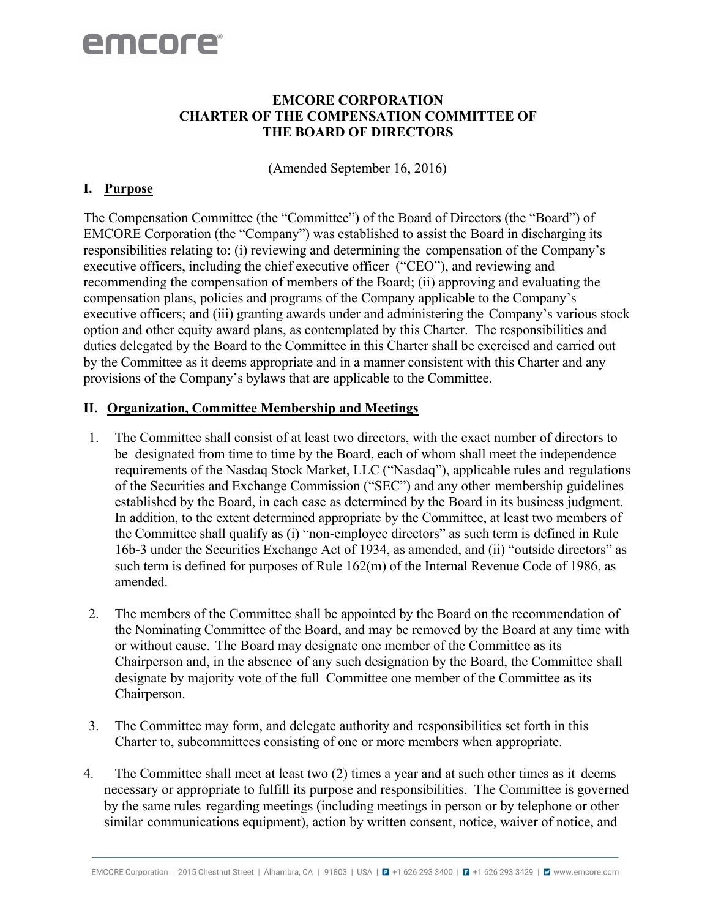#### **EMCORE CORPORATION CHARTER OF THE COMPENSATION COMMITTEE OF THE BOARD OF DIRECTORS**

(Amended September 16, 2016)

#### **I. Purpose**

The Compensation Committee (the "Committee") of the Board of Directors (the "Board") of EMCORE Corporation (the "Company") was established to assist the Board in discharging its responsibilities relating to: (i) reviewing and determining the compensation of the Company's executive officers, including the chief executive officer ("CEO"), and reviewing and recommending the compensation of members of the Board; (ii) approving and evaluating the compensation plans, policies and programs of the Company applicable to the Company's executive officers; and (iii) granting awards under and administering the Company's various stock option and other equity award plans, as contemplated by this Charter. The responsibilities and duties delegated by the Board to the Committee in this Charter shall be exercised and carried out by the Committee as it deems appropriate and in a manner consistent with this Charter and any provisions of the Company's bylaws that are applicable to the Committee.

#### **II. Organization, Committee Membership and Meetings**

- 1. The Committee shall consist of at least two directors, with the exact number of directors to be designated from time to time by the Board, each of whom shall meet the independence requirements of the Nasdaq Stock Market, LLC ("Nasdaq"), applicable rules and regulations of the Securities and Exchange Commission ("SEC") and any other membership guidelines established by the Board, in each case as determined by the Board in its business judgment. In addition, to the extent determined appropriate by the Committee, at least two members of the Committee shall qualify as (i) "non-employee directors" as such term is defined in Rule 16b-3 under the Securities Exchange Act of 1934, as amended, and (ii) "outside directors" as such term is defined for purposes of Rule 162(m) of the Internal Revenue Code of 1986, as amended.
- 2. The members of the Committee shall be appointed by the Board on the recommendation of the Nominating Committee of the Board, and may be removed by the Board at any time with or without cause. The Board may designate one member of the Committee as its Chairperson and, in the absence of any such designation by the Board, the Committee shall designate by majority vote of the full Committee one member of the Committee as its Chairperson.
- 3. The Committee may form, and delegate authority and responsibilities set forth in this Charter to, subcommittees consisting of one or more members when appropriate.
- 4. The Committee shall meet at least two (2) times a year and at such other times as it deems necessary or appropriate to fulfill its purpose and responsibilities. The Committee is governed by the same rules regarding meetings (including meetings in person or by telephone or other similar communications equipment), action by written consent, notice, waiver of notice, and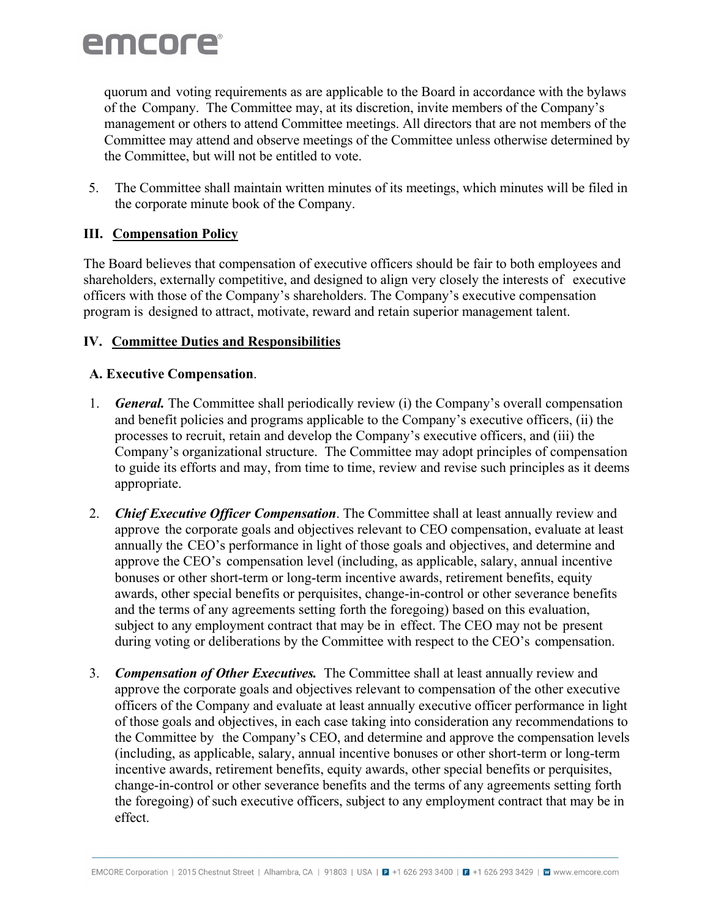quorum and voting requirements as are applicable to the Board in accordance with the bylaws of the Company. The Committee may, at its discretion, invite members of the Company's management or others to attend Committee meetings. All directors that are not members of the Committee may attend and observe meetings of the Committee unless otherwise determined by the Committee, but will not be entitled to vote.

5. The Committee shall maintain written minutes of its meetings, which minutes will be filed in the corporate minute book of the Company.

## **III. Compensation Policy**

The Board believes that compensation of executive officers should be fair to both employees and shareholders, externally competitive, and designed to align very closely the interests of executive officers with those of the Company's shareholders. The Company's executive compensation program is designed to attract, motivate, reward and retain superior management talent.

## **IV. Committee Duties and Responsibilities**

## **A. Executive Compensation**.

- 1. *General.* The Committee shall periodically review (i) the Company's overall compensation and benefit policies and programs applicable to the Company's executive officers, (ii) the processes to recruit, retain and develop the Company's executive officers, and (iii) the Company's organizational structure. The Committee may adopt principles of compensation to guide its efforts and may, from time to time, review and revise such principles as it deems appropriate.
- 2. *Chief Executive Officer Compensation*. The Committee shall at least annually review and approve the corporate goals and objectives relevant to CEO compensation, evaluate at least annually the CEO's performance in light of those goals and objectives, and determine and approve the CEO's compensation level (including, as applicable, salary, annual incentive bonuses or other short-term or long-term incentive awards, retirement benefits, equity awards, other special benefits or perquisites, change-in-control or other severance benefits and the terms of any agreements setting forth the foregoing) based on this evaluation, subject to any employment contract that may be in effect. The CEO may not be present during voting or deliberations by the Committee with respect to the CEO's compensation.
- 3. *Compensation of Other Executives.* The Committee shall at least annually review and approve the corporate goals and objectives relevant to compensation of the other executive officers of the Company and evaluate at least annually executive officer performance in light of those goals and objectives, in each case taking into consideration any recommendations to the Committee by the Company's CEO, and determine and approve the compensation levels (including, as applicable, salary, annual incentive bonuses or other short-term or long-term incentive awards, retirement benefits, equity awards, other special benefits or perquisites, change-in-control or other severance benefits and the terms of any agreements setting forth the foregoing) of such executive officers, subject to any employment contract that may be in effect.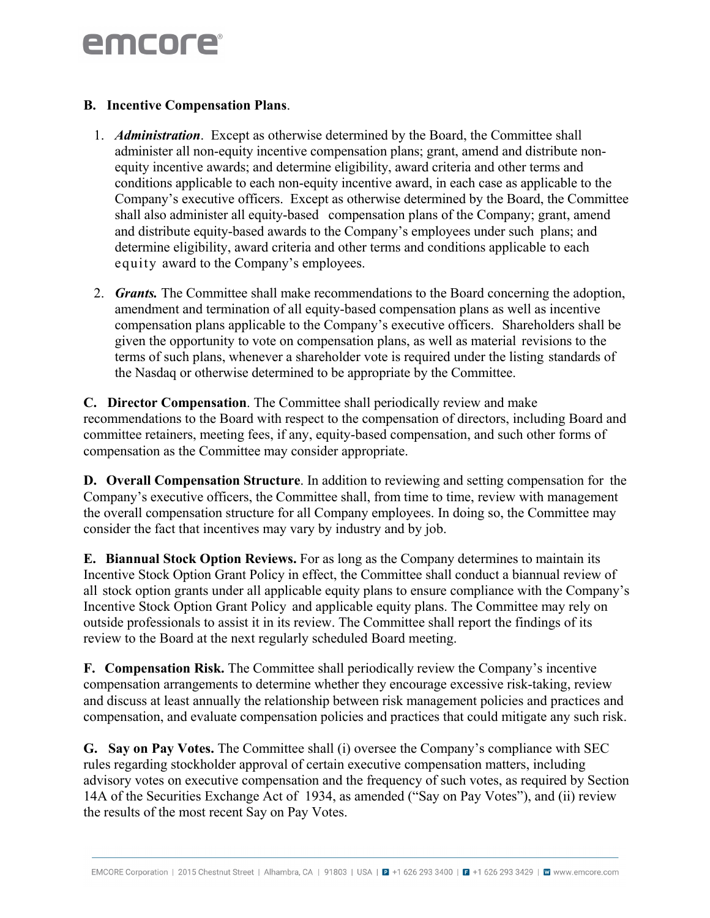#### **B. Incentive Compensation Plans**.

- 1. *Administration*. Except as otherwise determined by the Board, the Committee shall administer all non-equity incentive compensation plans; grant, amend and distribute nonequity incentive awards; and determine eligibility, award criteria and other terms and conditions applicable to each non-equity incentive award, in each case as applicable to the Company's executive officers. Except as otherwise determined by the Board, the Committee shall also administer all equity-based compensation plans of the Company; grant, amend and distribute equity-based awards to the Company's employees under such plans; and determine eligibility, award criteria and other terms and conditions applicable to each equity award to the Company's employees.
- 2. *Grants.* The Committee shall make recommendations to the Board concerning the adoption, amendment and termination of all equity-based compensation plans as well as incentive compensation plans applicable to the Company's executive officers. Shareholders shall be given the opportunity to vote on compensation plans, as well as material revisions to the terms of such plans, whenever a shareholder vote is required under the listing standards of the Nasdaq or otherwise determined to be appropriate by the Committee.

**C. Director Compensation**. The Committee shall periodically review and make recommendations to the Board with respect to the compensation of directors, including Board and committee retainers, meeting fees, if any, equity-based compensation, and such other forms of compensation as the Committee may consider appropriate.

**D. Overall Compensation Structure**. In addition to reviewing and setting compensation for the Company's executive officers, the Committee shall, from time to time, review with management the overall compensation structure for all Company employees. In doing so, the Committee may consider the fact that incentives may vary by industry and by job.

**E. Biannual Stock Option Reviews.** For as long as the Company determines to maintain its Incentive Stock Option Grant Policy in effect, the Committee shall conduct a biannual review of all stock option grants under all applicable equity plans to ensure compliance with the Company's Incentive Stock Option Grant Policy and applicable equity plans. The Committee may rely on outside professionals to assist it in its review. The Committee shall report the findings of its review to the Board at the next regularly scheduled Board meeting.

**F. Compensation Risk.** The Committee shall periodically review the Company's incentive compensation arrangements to determine whether they encourage excessive risk-taking, review and discuss at least annually the relationship between risk management policies and practices and compensation, and evaluate compensation policies and practices that could mitigate any such risk.

**G. Say on Pay Votes.** The Committee shall (i) oversee the Company's compliance with SEC rules regarding stockholder approval of certain executive compensation matters, including advisory votes on executive compensation and the frequency of such votes, as required by Section 14A of the Securities Exchange Act of 1934, as amended ("Say on Pay Votes"), and (ii) review the results of the most recent Say on Pay Votes.